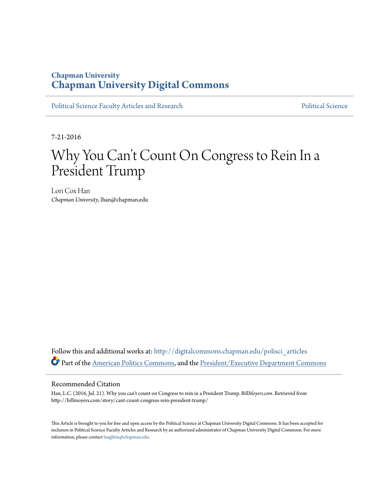### **Chapman University [Chapman University Digital Commons](http://digitalcommons.chapman.edu?utm_source=digitalcommons.chapman.edu%2Fpolisci_articles%2F16&utm_medium=PDF&utm_campaign=PDFCoverPages)**

[Political Science Faculty Articles and Research](http://digitalcommons.chapman.edu/polisci_articles?utm_source=digitalcommons.chapman.edu%2Fpolisci_articles%2F16&utm_medium=PDF&utm_campaign=PDFCoverPages) [Political Science](http://digitalcommons.chapman.edu/politicalscience?utm_source=digitalcommons.chapman.edu%2Fpolisci_articles%2F16&utm_medium=PDF&utm_campaign=PDFCoverPages) Political Science

7-21-2016

# Why You Can 't Count On Congress to Rein In a President Trump

Lori Cox Han *Chapman University*, lhan@chapman.edu

Follow this and additional works at: [http://digitalcommons.chapman.edu/polisci\\_articles](http://digitalcommons.chapman.edu/polisci_articles?utm_source=digitalcommons.chapman.edu%2Fpolisci_articles%2F16&utm_medium=PDF&utm_campaign=PDFCoverPages) Part of the [American Politics Commons](http://network.bepress.com/hgg/discipline/387?utm_source=digitalcommons.chapman.edu%2Fpolisci_articles%2F16&utm_medium=PDF&utm_campaign=PDFCoverPages), and the [President/Executive Department Commons](http://network.bepress.com/hgg/discipline/1118?utm_source=digitalcommons.chapman.edu%2Fpolisci_articles%2F16&utm_medium=PDF&utm_campaign=PDFCoverPages)

#### Recommended Citation

Han, L.C. (2016, Jul. 21). Why you can't count on Congress to rein in a President Trump. *BillMoyers.com*. Retrieved from http://billmoyers.com/story/cant-count-congress-rein-president-trump/

This Article is brought to you for free and open access by the Political Science at Chapman University Digital Commons. It has been accepted for inclusion in Political Science Faculty Articles and Research by an authorized administrator of Chapman University Digital Commons. For more information, please contact [laughtin@chapman.edu](mailto:laughtin@chapman.edu).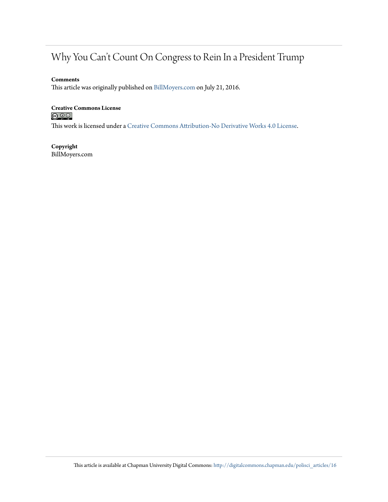### Why You Can't Count On Congress to Rein In a President Trump

#### **Comments**

This article was originally published on [BillMoyers.com](http://billmoyers.com/story/cant-count-congress-rein-president-trump/) on July 21, 2016.

## **Creative Commons License**<br>  $\textcircled{e}$  0 0

This work is licensed under a [Creative Commons Attribution-No Derivative Works 4.0 License.](http://creativecommons.org/licenses/by-nd/4.0/)

**Copyright** BillMoyers.com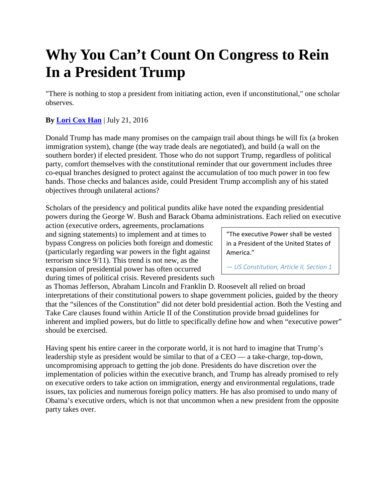# **Why You Can't Count On Congress to Rein In a President Trump**

"There is nothing to stop a president from initiating action, even if unconstitutional," one scholar observes.

### **By [Lori Cox Han](http://billmoyers.com/author/loricoxhan/)** | July 21, 2016

Donald Trump has made many promises on the campaign trail about things he will fix (a broken immigration system), change (the way trade deals are negotiated), and build (a wall on the southern border) if elected president. Those who do not support Trump, regardless of political party, comfort themselves with the constitutional reminder that our government includes three co-equal branches designed to protect against the accumulation of too much power in too few hands. Those checks and balances aside, could President Trump accomplish any of his stated objectives through unilateral actions?

Scholars of the presidency and political pundits alike have noted the expanding presidential powers during the George W. Bush and Barack Obama administrations. Each relied on executive

action (executive orders, agreements, proclamations and signing statements) to implement and at times to bypass Congress on policies both foreign and domestic (particularly regarding war powers in the fight against terrorism since 9/11). This trend is not new, as the expansion of presidential power has often occurred during times of political crisis. Revered presidents such

"The executive Power shall be vested in a President of the United States of America."

*— US Constitution, Article II, Section 1*

as Thomas Jefferson, Abraham Lincoln and Franklin D. Roosevelt all relied on broad interpretations of their constitutional powers to shape government policies, guided by the theory that the "silences of the Constitution" did not deter bold presidential action. Both the Vesting and Take Care clauses found within Article II of the Constitution provide broad guidelines for inherent and implied powers, but do little to specifically define how and when "executive power" should be exercised.

Having spent his entire career in the corporate world, it is not hard to imagine that Trump's leadership style as president would be similar to that of a CEO — a take-charge, top-down, uncompromising approach to getting the job done. Presidents do have discretion over the implementation of policies within the executive branch, and Trump has already promised to rely on executive orders to take action on immigration, energy and environmental regulations, trade issues, tax policies and numerous foreign policy matters. He has also promised to undo many of Obama's executive orders, which is not that uncommon when a new president from the opposite party takes over.